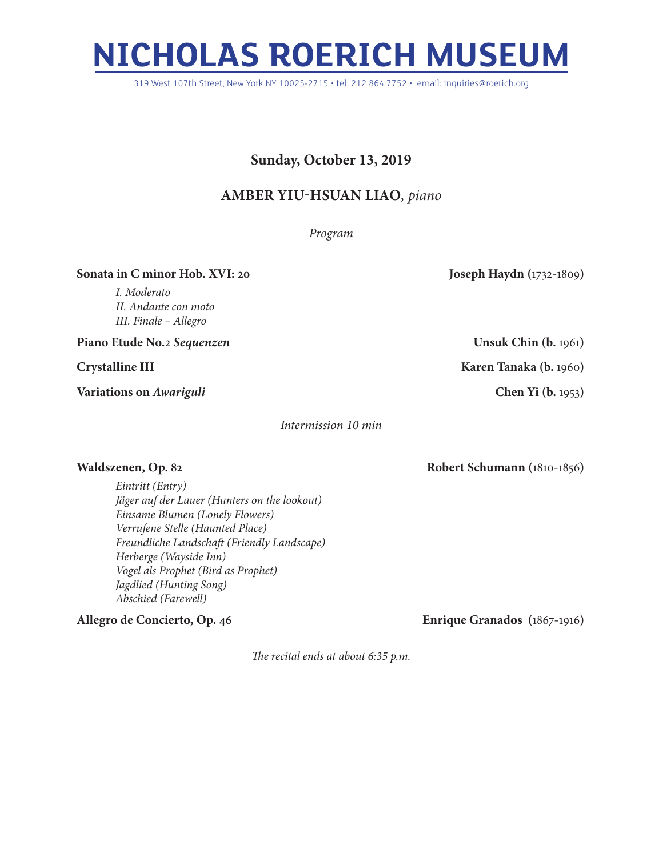## **NICHOLAS ROERICH MUSEUM**

319 West 107th Street, New York NY 10025-2715 • tel: 212 864 7752 • email: inquiries@roerich.org

## **Sunday, October 13, 2019**

## **Amber Yiu-Hsuan Liao***, piano*

*Program*

**Sonata in C minor Hob. XVI: 20 Joseph Haydn (**1732-1809)

*I. Moderato II. Andante con moto III. Finale – Allegro*

**Piano Etude No.**2 *Sequenzen* **Unsuk Chin (b.** 1961**)**

**Variations on** *Awariguli* **Chen Yi (b.** 1953**)**

*Intermission 10 min*

*Eintritt (Entry) Jäger auf der Lauer (Hunters on the lookout) Einsame Blumen (Lonely Flowers) Verrufene Stelle (Haunted Place) Freundliche Landschaft (Friendly Landscape) Herberge (Wayside Inn) Vogel als Prophet (Bird as Prophet) Jagdlied (Hunting Song) Abschied (Farewell)*

**Allegro de Concierto, Op. 46 Enrique Granados (**1867-1916**)**

*The recital ends at about 6:35 p.m.*

**Crystalline III Karen Tanaka (b.** 1960**)**

**Waldszenen, Op. 82 Robert Schumann (**1810-1856**)**